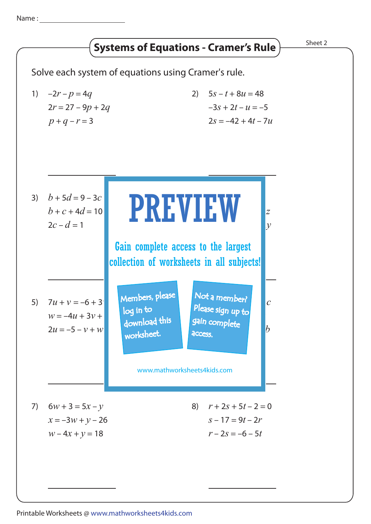Name :